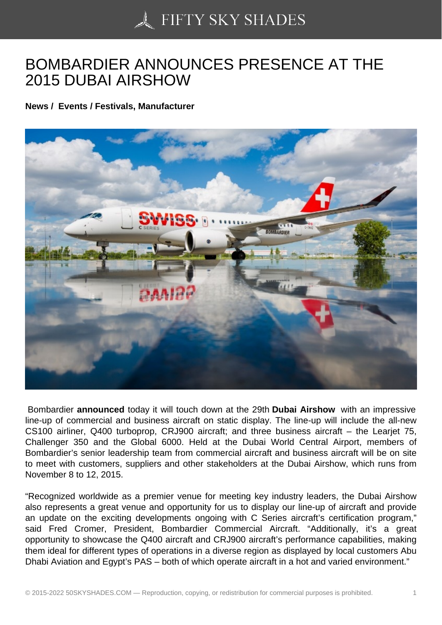## [BOMBARDIER ANNOU](https://50skyshades.com)NCES PRESENCE AT THE 2015 DUBAI AIRSHOW

News / Events / Festivals, Manufacturer

 Bombardier announced today it will touch down at the 29th Dubai Airshow with an impressive line-up of commercial and business aircraft on static display. The line-up will include the all-new CS100 airliner, Q400 turboprop, CRJ900 aircraft; and three business aircraft – the Learjet 75, Challenger 350 and the Global 6000. Held at the Dubai World Central Airport, members of Bombardier's senior leadership team from commercial aircraft and business aircraft will be on site to meet with customers, suppliers and other stakeholders at the Dubai Airshow, which runs from November 8 to 12, 2015.

"Recognized worldwide as a premier venue for meeting key industry leaders, the Dubai Airshow also represents a great venue and opportunity for us to display our line-up of aircraft and provide an update on the exciting developments ongoing with C Series aircraft's certification program," said Fred Cromer, President, Bombardier Commercial Aircraft. "Additionally, it's a great opportunity to showcase the Q400 aircraft and CRJ900 aircraft's performance capabilities, making them ideal for different types of operations in a diverse region as displayed by local customers Abu Dhabi Aviation and Egypt's PAS – both of which operate aircraft in a hot and varied environment."